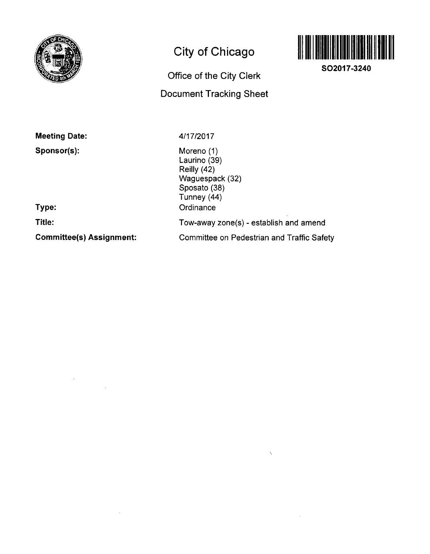

## **City of Chicago**

# **Office of the City Clerk**

## **Document Tracking Sheet**



**SO2017-3240** 

**Meeting Date:** 

**Sponsor(s):** 

4/17/2017

Moreno (1) Laurino (39) Reilly (42) Waguespack (32) Sposato (38) Tunney (44) **Ordinance** Tow-away zone(s) - establish and amend Committee on Pedestrian and Traffic Safety

 $\lambda$ 

 $\sim$ 

**Type:** 

**Title:** 

**Committee(s) Assignment:** 

÷.

 $\sim$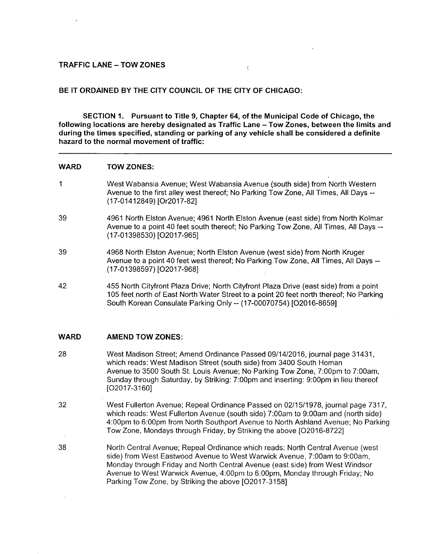#### **TRAFFIC LANE - TOW ZONES**

#### **BE IT ORDAINED BY THE CITY COUNCIL OF THE CITY OF CHICAGO:**

**SECTION 1. Pursuant to Title 9, Chapter 64, of the Municipal Code of Chicago, the**  following locations are hereby designated as Traffic Lane - Tow Zones, between the limits and **during the times specified, standing or parking of any vehicle shall be considered a definite hazard to the normal movement of traffic:** 

 $\zeta$ 

#### **WARD TOW ZONES:**

- $\mathbf{1}$ West Wabansia Avenue; West Wabansia Avenue (south side) from North Western Avenue to the first alley west thereof; No Parking Tow Zone, All Times, All Days --(17-01412849) [Or2017-82]
- 39 4961 North Elston Avenue; 4961 North Elston Avenue (east side) from North Kolmar Avenue to a point 40 feet south thereof; No Parking Tow Zone, All Times, All Days --(17-01398530) [02017-965]
- 39 4968 North Elston Avenue; North Elston Avenue (west side) from North Kruger Avenue to a point 40 feet west thereof; No Parking Tow Zone, All Times, All Days ~ (17-01398597) [02017-968]
- 42 455 North Cityfront Plaza Drive; North Cityfront Plaza Drive (east side) from a point 105 feet north of East North Water Street to a point 20 feet north thereof; No Parking South Korean Consulate Parking Only ~ (17-00070754) [02016-8659]

#### **WARD AMEND TOW ZONES:**

- 28 West Madison Street; Amend Ordinance Passed 09/14/2016, journal page 31431, which reads: West Madison Street (south side) from 3400 South Homan Avenue to 3500 South St. Louis Avenue; No Parking Tow Zone, 7:00pm to 7:00am, Sunday through Saturday, by Striking: 7:00pm and inserting: 9:00pm in lieu thereof [02017-3160]
- 32 West Fullerton Avenue; Repeal Ordinance Passed on 02/15/1978, journal page 7317, which reads: West Fullerton Avenue (south side) 7:00am to 9:00am and (north side) 4:00pm to 6:00pm from North Southport Avenue to North Ashland Avenue; No Parking Tow Zone, Mondays through Friday, by Striking the above [02016-8722]
- 38 North Central Avenue; Repeal Ordinance which reads: North Central Avenue (west side) from West Eastwood Avenue to West Warwick Avenue, 7:00am to 9:00am, Monday through Friday and North Central Avenue (east side) from West Windsor Avenue to West Warwick Avenue, 4:00pm to 6:00pm, Monday through Friday; No Parking Tow Zone, by Striking the above [02017-3158]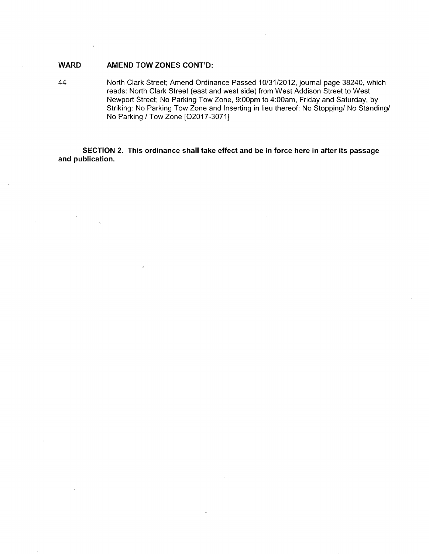### WARD **AMEND TOW ZONES CONT'D:**

44 North Clark Street; Amend Ordinance Passed 10/31/2012, journal page 38240, which reads: North Clark Street (east and west side) from West Addison Street to West Newport Street; No Parking Tow Zone, 9:00pm to 4:00am, Friday and Saturday, by Striking: No Parking Tow Zone and Inserting in lieu thereof: No Stopping/ No Standing/ No Parking / Tow Zone [02017-3071]

**SECTION 2. This ordinance shall take effect and be in force here in after its passage and publication.**